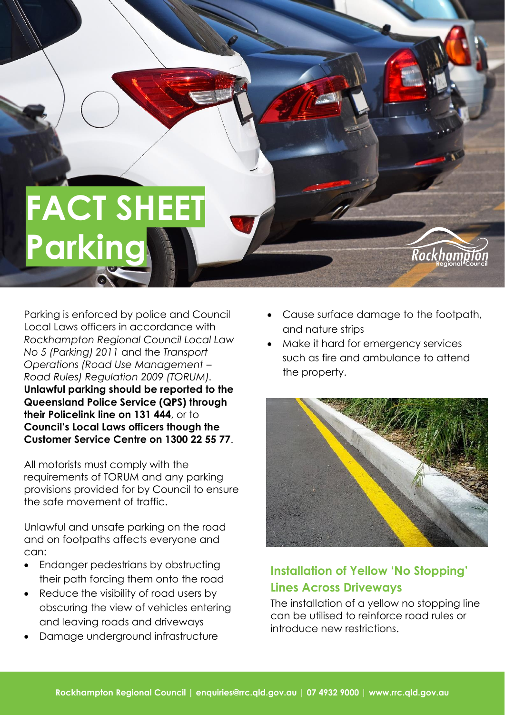# **FACT SHEET Parking**

Parking is enforced by police and Council Local Laws officers in accordance with *Rockhampton Regional Council Local Law No 5 (Parking) 2011* and the *Transport Operations (Road Use Management – Road Rules) Regulation 2009 (TORUM).* **Unlawful parking should be reported to the Queensland Police Service (QPS) through their Policelink line on 131 444**, or to **Council's Local Laws officers though the Customer Service Centre on 1300 22 55 77**.

All motorists must comply with the requirements of TORUM and any parking provisions provided for by Council to ensure the safe movement of traffic.

Unlawful and unsafe parking on the road and on footpaths affects everyone and can:

- Endanger pedestrians by obstructing their path forcing them onto the road
- Reduce the visibility of road users by obscuring the view of vehicles entering and leaving roads and driveways
- Damage underground infrastructure

• Cause surface damage to the footpath, and nature strips

Rockham

• Make it hard for emergency services such as fire and ambulance to attend the property.



# **Installation of Yellow 'No Stopping' Lines Across Driveways**

The installation of a yellow no stopping line can be utilised to reinforce road rules or introduce new restrictions.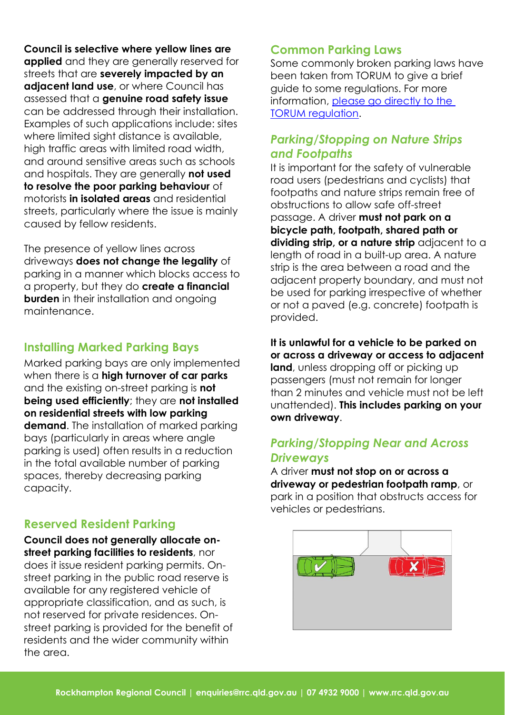**Council is selective where yellow lines are applied** and they are generally reserved for streets that are **severely impacted by an adjacent land use**, or where Council has assessed that a **genuine road safety issue** can be addressed through their installation. Examples of such applications include: sites where limited sight distance is available, high traffic areas with limited road width, and around sensitive areas such as schools and hospitals. They are generally **not used to resolve the poor parking behaviour** of motorists **in isolated areas** and residential streets, particularly where the issue is mainly caused by fellow residents.

The presence of yellow lines across driveways **does not change the legality** of parking in a manner which blocks access to a property, but they do **create a financial burden** in their installation and ongoing maintenance.

### **Installing Marked Parking Bays**

Marked parking bays are only implemented when there is a **high turnover of car parks** and the existing on-street parking is **not being used efficiently**; they are **not installed on residential streets with low parking demand**. The installation of marked parking bays (particularly in areas where angle parking is used) often results in a reduction in the total available number of parking spaces, thereby decreasing parking capacity.

#### **Reserved Resident Parking**

**Council does not generally allocate onstreet parking facilities to residents**, nor does it issue resident parking permits. Onstreet parking in the public road reserve is available for any registered vehicle of appropriate classification, and as such, is not reserved for private residences. Onstreet parking is provided for the benefit of residents and the wider community within the area.

#### **Common Parking Laws**

Some commonly broken parking laws have been taken from TORUM to give a brief guide to some regulations. For more information, [please go directly to the](https://www.legislation.qld.gov.au/view/pdf/inforce/2017-08-25/sl-2009-0194)  [TORUM regulation.](https://www.legislation.qld.gov.au/view/pdf/inforce/2017-08-25/sl-2009-0194)

#### *Parking/Stopping on Nature Strips and Footpaths*

It is important for the safety of vulnerable road users (pedestrians and cyclists) that footpaths and nature strips remain free of obstructions to allow safe off-street passage. A driver **must not park on a bicycle path, footpath, shared path or dividing strip, or a nature strip** adjacent to a length of road in a built-up area. A nature strip is the area between a road and the adjacent property boundary, and must not be used for parking irrespective of whether or not a paved (e.g. concrete) footpath is provided.

**It is unlawful for a vehicle to be parked on or across a driveway or access to adjacent land**, unless dropping off or picking up passengers (must not remain for longer than 2 minutes and vehicle must not be left unattended). **This includes parking on your own driveway**.

#### *Parking/Stopping Near and Across Driveways*

A driver **must not stop on or across a driveway or pedestrian footpath ramp**, or park in a position that obstructs access for vehicles or pedestrians.

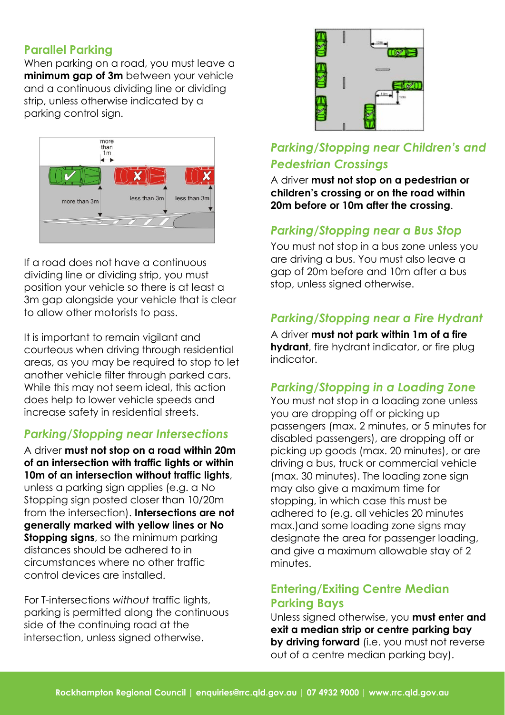#### **Parallel Parking**

When parking on a road, you must leave a **minimum gap of 3m** between your vehicle and a continuous dividing line or dividing strip, unless otherwise indicated by a parking control sign.



If a road does not have a continuous dividing line or dividing strip, you must position your vehicle so there is at least a 3m gap alongside your vehicle that is clear to allow other motorists to pass.

It is important to remain vigilant and courteous when driving through residential areas, as you may be required to stop to let another vehicle filter through parked cars. While this may not seem ideal, this action does help to lower vehicle speeds and increase safety in residential streets.

### *Parking/Stopping near Intersections*

A driver **must not stop on a road within 20m of an intersection with traffic lights or within 10m of an intersection without traffic lights**, unless a parking sign applies (e.g. a No Stopping sign posted closer than 10/20m from the intersection). **Intersections are not generally marked with yellow lines or No Stopping signs**, so the minimum parking distances should be adhered to in circumstances where no other traffic control devices are installed.

For T-intersections *without* traffic lights, parking is permitted along the continuous side of the continuing road at the intersection, unless signed otherwise.



## *Parking/Stopping near Children's and Pedestrian Crossings*

A driver **must not stop on a pedestrian or children's crossing or on the road within 20m before or 10m after the crossing**.

### *Parking/Stopping near a Bus Stop*

You must not stop in a bus zone unless you are driving a bus. You must also leave a gap of 20m before and 10m after a bus stop, unless signed otherwise.

### *Parking/Stopping near a Fire Hydrant*

A driver **must not park within 1m of a fire hydrant**, fire hydrant indicator, or fire plug indicator.

#### *Parking/Stopping in a Loading Zone*

You must not stop in a loading zone unless you are dropping off or picking up passengers (max. 2 minutes, or 5 minutes for disabled passengers), are dropping off or picking up goods (max. 20 minutes), or are driving a bus, truck or commercial vehicle (max. 30 minutes). The loading zone sign may also give a maximum time for stopping, in which case this must be adhered to (e.g. all vehicles 20 minutes max.)and some loading zone signs may designate the area for passenger loading, and give a maximum allowable stay of 2 minutes.

#### **Entering/Exiting Centre Median Parking Bays**

Unless signed otherwise, you **must enter and exit a median strip or centre parking bay by driving forward** (i.e. you must not reverse out of a centre median parking bay).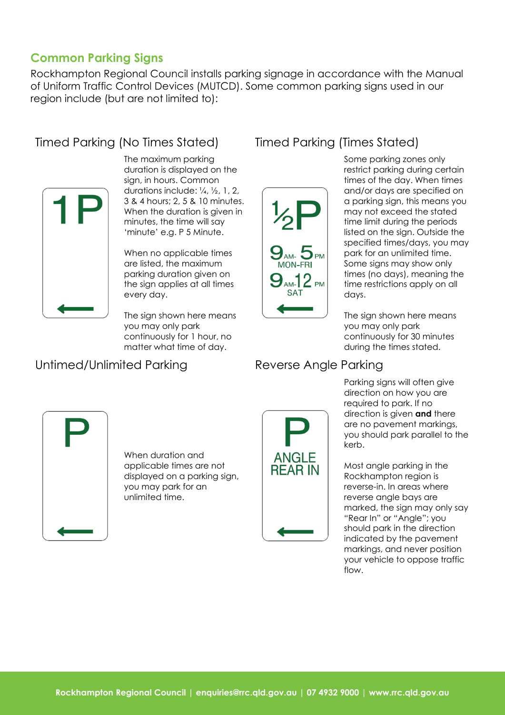#### **Common Parking Signs**

Rockhampton Regional Council installs parking signage in accordance with the Manual of Uniform Traffic Control Devices (MUTCD). Some common parking signs used in our region include (but are not limited to):

# Timed Parking (No Times Stated) Timed Parking (Times Stated)



The maximum parking duration is displayed on the sign, in hours. Common durations include: ¼, ½, 1, 2, 3 & 4 hours; 2, 5 & 10 minutes. When the duration is given in minutes, the time will say 'minute' e.g. P 5 Minute.

When no applicable times are listed, the maximum parking duration given on the sign applies at all times every day.

The sign shown here means you may only park continuously for 1 hour, no matter what time of day.

### Untimed/Unlimited Parking Reverse Angle Parking



Some parking zones only restrict parking during certain times of the day. When times and/or days are specified on a parking sign, this means you may not exceed the stated time limit during the periods listed on the sign. Outside the specified times/days, you may park for an unlimited time. Some signs may show only times (no days), meaning the time restrictions apply on all days.

The sign shown here means you may only park continuously for 30 minutes during the times stated.



When duration and applicable times are not displayed on a parking sign, you may park for an unlimited time.



Parking signs will often give direction on how you are required to park. If no direction is given **and** there are no pavement markings, you should park parallel to the kerb.

Most angle parking in the Rockhampton region is reverse-in. In areas where reverse angle bays are marked, the sign may only say "Rear In" or "Angle"; you should park in the direction indicated by the pavement markings, and never position your vehicle to oppose traffic flow.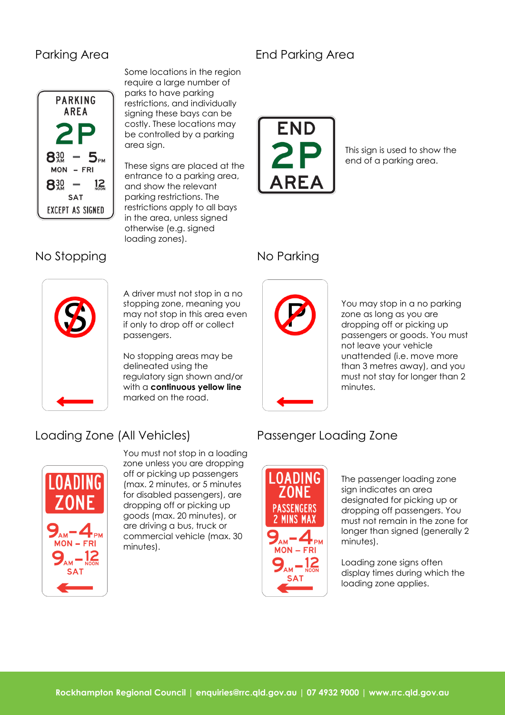

Some locations in the region require a large number of parks to have parking restrictions, and individually signing these bays can be costly. These locations may be controlled by a parking area sign.

These signs are placed at the entrance to a parking area, and show the relevant parking restrictions. The restrictions apply to all bays in the area, unless signed otherwise (e.g. signed loading zones).

# Parking Area **End Parking Area**



This sign is used to show the end of a parking area.

### No Stopping No Parking



A driver must not stop in a no stopping zone, meaning you may not stop in this area even if only to drop off or collect passengers.

No stopping areas may be delineated using the regulatory sign shown and/or with a **continuous yellow line** marked on the road.



You may stop in a no parking zone as long as you are dropping off or picking up passengers or goods. You must not leave your vehicle unattended (i.e. move more than 3 metres away), and you must not stay for longer than 2 minutes.

# Loading Zone (All Vehicles) Passenger Loading Zone



You must not stop in a loading zone unless you are dropping off or picking up passengers (max. 2 minutes, or 5 minutes for disabled passengers), are dropping off or picking up goods (max. 20 minutes), or are driving a bus, truck or commercial vehicle (max. 30 minutes).



The passenger loading zone sign indicates an area designated for picking up or dropping off passengers. You must not remain in the zone for longer than signed (generally 2 minutes).

Loading zone signs often display times during which the loading zone applies.